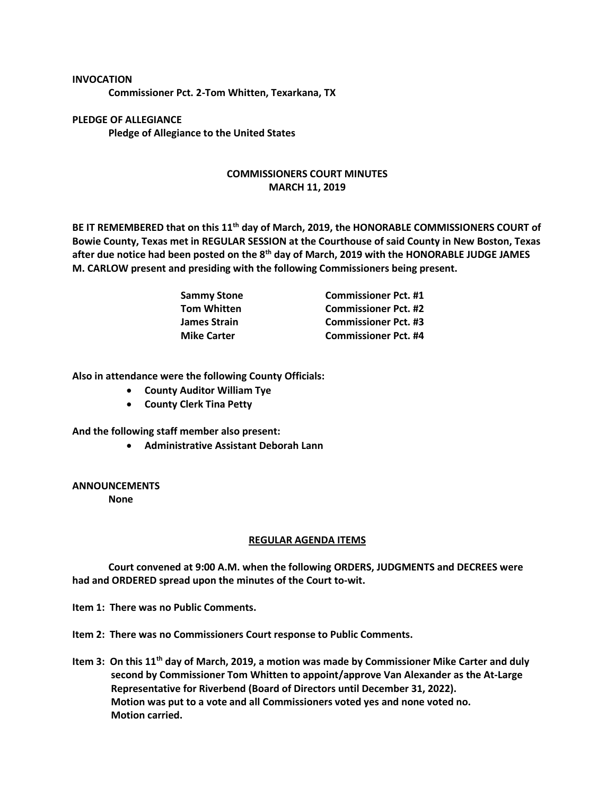## **INVOCATION Commissioner Pct. 2-Tom Whitten, Texarkana, TX**

**PLEDGE OF ALLEGIANCE Pledge of Allegiance to the United States**

## **COMMISSIONERS COURT MINUTES MARCH 11, 2019**

**BE IT REMEMBERED that on this 11th day of March, 2019, the HONORABLE COMMISSIONERS COURT of Bowie County, Texas met in REGULAR SESSION at the Courthouse of said County in New Boston, Texas after due notice had been posted on the 8th day of March, 2019 with the HONORABLE JUDGE JAMES M. CARLOW present and presiding with the following Commissioners being present.**

| <b>Sammy Stone</b> | <b>Commissioner Pct. #1</b> |
|--------------------|-----------------------------|
| <b>Tom Whitten</b> | <b>Commissioner Pct. #2</b> |
| James Strain       | <b>Commissioner Pct. #3</b> |
| <b>Mike Carter</b> | <b>Commissioner Pct. #4</b> |

**Also in attendance were the following County Officials:**

- **County Auditor William Tye**
- **County Clerk Tina Petty**

**And the following staff member also present:**

• **Administrative Assistant Deborah Lann**

**ANNOUNCEMENTS**

**None**

## **REGULAR AGENDA ITEMS**

**Court convened at 9:00 A.M. when the following ORDERS, JUDGMENTS and DECREES were had and ORDERED spread upon the minutes of the Court to-wit.**

**Item 1: There was no Public Comments.**

**Item 2: There was no Commissioners Court response to Public Comments.**

**Item 3: On this 11th day of March, 2019, a motion was made by Commissioner Mike Carter and duly second by Commissioner Tom Whitten to appoint/approve Van Alexander as the At-Large Representative for Riverbend (Board of Directors until December 31, 2022). Motion was put to a vote and all Commissioners voted yes and none voted no. Motion carried.**